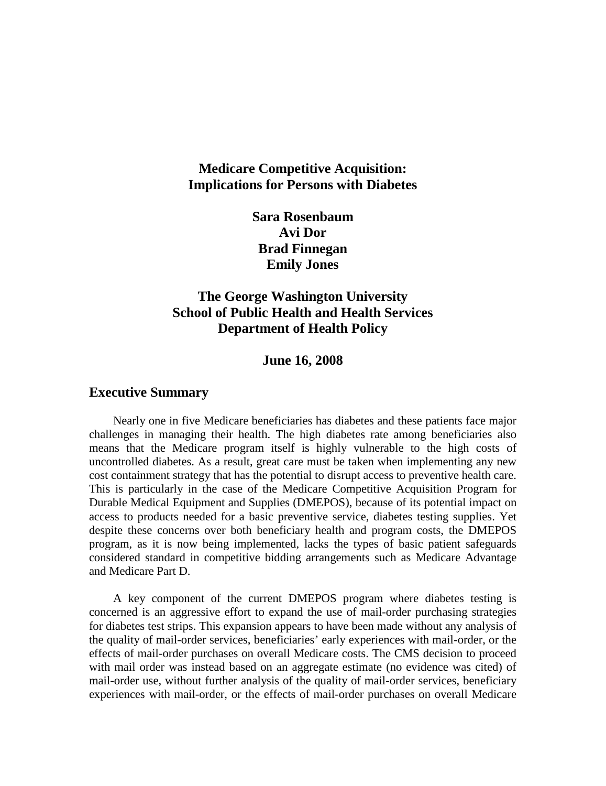# **Medicare Competitive Acquisition: Implications for Persons with Diabetes**

**Sara Rosenbaum Avi Dor Brad Finnegan Emily Jones**

# **The George Washington University School of Public Health and Health Services Department of Health Policy**

#### **June 16, 2008**

#### **Executive Summary**

Nearly one in five Medicare beneficiaries has diabetes and these patients face major challenges in managing their health. The high diabetes rate among beneficiaries also means that the Medicare program itself is highly vulnerable to the high costs of uncontrolled diabetes. As a result, great care must be taken when implementing any new cost containment strategy that has the potential to disrupt access to preventive health care. This is particularly in the case of the Medicare Competitive Acquisition Program for Durable Medical Equipment and Supplies (DMEPOS), because of its potential impact on access to products needed for a basic preventive service, diabetes testing supplies. Yet despite these concerns over both beneficiary health and program costs, the DMEPOS program, as it is now being implemented, lacks the types of basic patient safeguards considered standard in competitive bidding arrangements such as Medicare Advantage and Medicare Part D.

A key component of the current DMEPOS program where diabetes testing is concerned is an aggressive effort to expand the use of mail-order purchasing strategies for diabetes test strips. This expansion appears to have been made without any analysis of the quality of mail-order services, beneficiaries' early experiences with mail-order, or the effects of mail-order purchases on overall Medicare costs. The CMS decision to proceed with mail order was instead based on an aggregate estimate (no evidence was cited) of mail-order use, without further analysis of the quality of mail-order services, beneficiary experiences with mail-order, or the effects of mail-order purchases on overall Medicare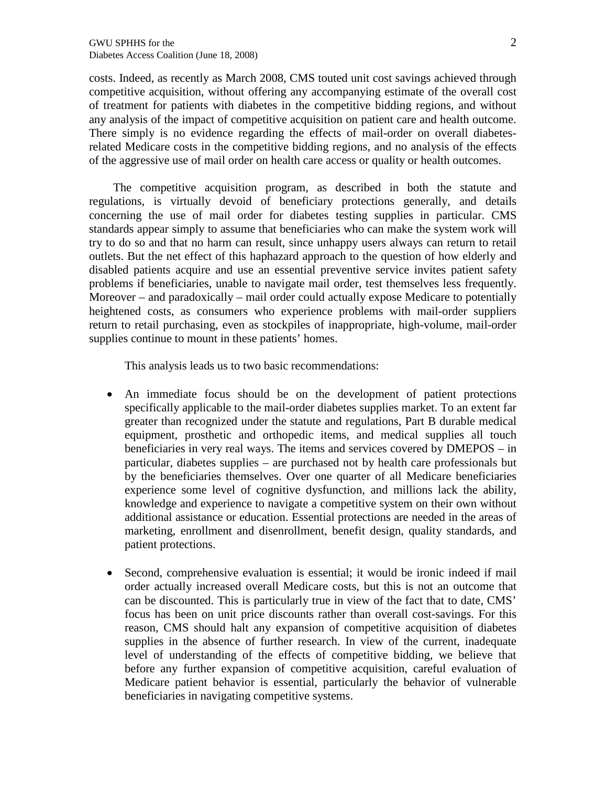costs. Indeed, as recently as March 2008, CMS touted unit cost savings achieved through competitive acquisition, without offering any accompanying estimate of the overall cost of treatment for patients with diabetes in the competitive bidding regions, and without any analysis of the impact of competitive acquisition on patient care and health outcome. There simply is no evidence regarding the effects of mail-order on overall diabetesrelated Medicare costs in the competitive bidding regions, and no analysis of the effects of the aggressive use of mail order on health care access or quality or health outcomes.

The competitive acquisition program, as described in both the statute and regulations, is virtually devoid of beneficiary protections generally, and details concerning the use of mail order for diabetes testing supplies in particular. CMS standards appear simply to assume that beneficiaries who can make the system work will try to do so and that no harm can result, since unhappy users always can return to retail outlets. But the net effect of this haphazard approach to the question of how elderly and disabled patients acquire and use an essential preventive service invites patient safety problems if beneficiaries, unable to navigate mail order, test themselves less frequently. Moreover – and paradoxically – mail order could actually expose Medicare to potentially heightened costs, as consumers who experience problems with mail-order suppliers return to retail purchasing, even as stockpiles of inappropriate, high-volume, mail-order supplies continue to mount in these patients' homes.

This analysis leads us to two basic recommendations:

- An immediate focus should be on the development of patient protections specifically applicable to the mail-order diabetes supplies market. To an extent far greater than recognized under the statute and regulations, Part B durable medical equipment, prosthetic and orthopedic items, and medical supplies all touch beneficiaries in very real ways. The items and services covered by DMEPOS – in particular, diabetes supplies – are purchased not by health care professionals but by the beneficiaries themselves. Over one quarter of all Medicare beneficiaries experience some level of cognitive dysfunction, and millions lack the ability, knowledge and experience to navigate a competitive system on their own without additional assistance or education. Essential protections are needed in the areas of marketing, enrollment and disenrollment, benefit design, quality standards, and patient protections.
- Second, comprehensive evaluation is essential; it would be ironic indeed if mail order actually increased overall Medicare costs, but this is not an outcome that can be discounted. This is particularly true in view of the fact that to date, CMS' focus has been on unit price discounts rather than overall cost-savings. For this reason, CMS should halt any expansion of competitive acquisition of diabetes supplies in the absence of further research. In view of the current, inadequate level of understanding of the effects of competitive bidding, we believe that before any further expansion of competitive acquisition, careful evaluation of Medicare patient behavior is essential, particularly the behavior of vulnerable beneficiaries in navigating competitive systems.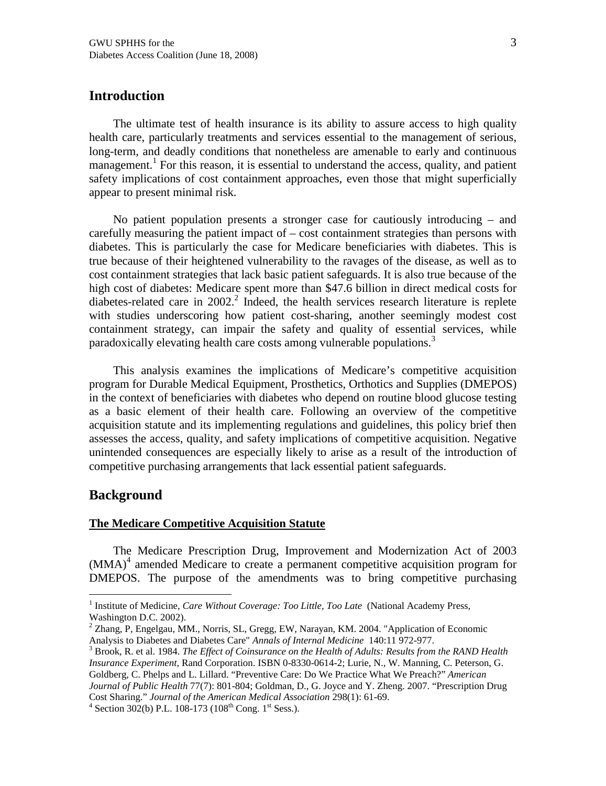## **Introduction**

The ultimate test of health insurance is its ability to assure access to unity q health careparticularly treatments and services essential to the management of serious, long-term, and deadly conditions that nonetheless are amenable to early and continuous management. For this reason, it is essential to understand the acpeaty, andpatient safety implications of cost containment approaches in those that might superficially appear to present minimal risk.

No patient population presents a stronger case cationaly introducing • and carefullymeasuring theatient impact of cost containment straties than persons with diabetes. This is particularly the case formedicare beneficiaries with abetes. This is true because otheir heightened vulnerabilit to the ravages of the disease, as well as to cost containment trategies that lack basicatient safeguard is also true because of the high cost of diabetes:Medicarespent more than \$47.6 billion in direct medical costs diabetesrelated caren 2002<sup>2</sup> Indeed the health services research literature is teple with studies underscom how patient cost haring, another seemingly modest cost containment strategy, can impair the safety and quality of essential services, while paradoxically elevating health care costs among vulnerable populations.

This analy is examines the implications of Medicare Es competitive acquisition program for Durable Medical Equipment, Prosthetics, Orthotics and Supplex (POS) in the context of beneficiaries with diabetes dependon routineblood glucosetesting as a basic eleemt of their health careFollowing an overview of the competitive acquisition statute and its plementing regulations and quidelines is policy brief then assesses the access, quality, and safety implications of competitive acquisity interesting unintended consequences are especially likely to as a result of the introduction of competitive purchasing arrangements that lack essential patient safeguards.

#### **Background**

#### The Medicare Competitive Acquisition Statute

The Medicare Prescription Drug, Improment and Modernization Act of 2003  $(MMA)<sup>4</sup>$  amended Medicare to create a permanent competitive acquisitionam for DMEPOS. The purpose of the amendments was to bring competitive purchasing

Cost Sharing. Journal of the American Medical Association 8(1): 6169.

<sup>&</sup>lt;sup>1</sup> Institute of MedicineCare Without Coverage: Too Little, Too La bational Academy Press, Washington D.C. 2002).

 $^2$  Zhang, P, Engelgau, MM., Norris, SL, Gre $\bar{\text{g}}$ gy, Narayan, KM. 2004'Application of Economic Analysis to Diabetes and Diabetes Cake hals of Internal Medicine 40:11 972977.

 $3$  Brook, R. et al. 1984The Effect of Coinsurance on the Health of Adults: Results from the RAND Health Insurance Experimet, Rand Corporation.SBN 0-8330-06142; Lurie, N., W. Manning, C. Peterson, G. Goldberg, C. Phelps and L. Lillard. , Preventive Care: Do We Practice What We Preamerican Journal of Public Health77(7): 801804; Goldman, D., G. Joyce and Y. Zheng. 2007. , Prescription Drug

<sup>&</sup>lt;sup>4</sup> Section 302(b) P.L. 10873 (108<sup>th</sup> Cong. 1<sup>tt</sup> Sess.).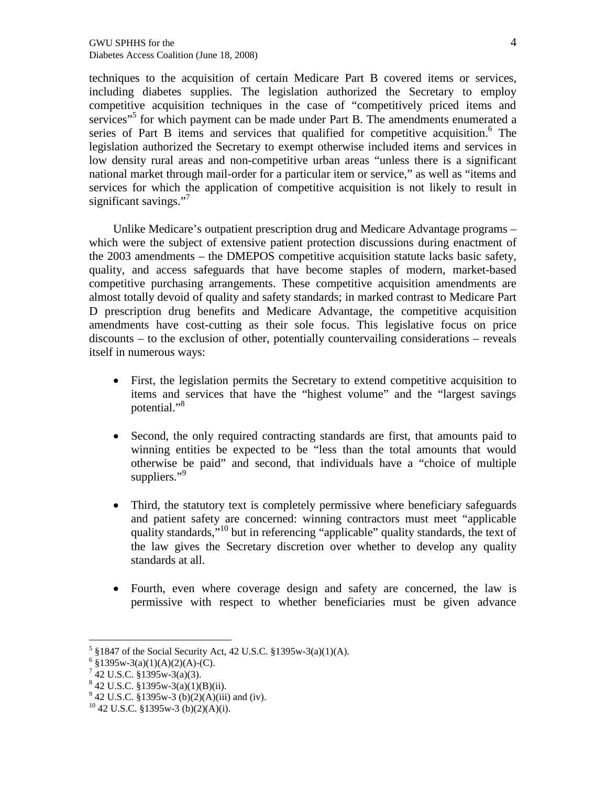techniques to the acquisition of certain Medicare Part B covered items or services, including diabetes supplies. The legislation authorized the Secretary to employ competitive acquisition techniques in the case of "competitively priced items and services"<sup>5</sup> for which payment can be made under Part B. The amendments enumerated a series of Part B items and services that qualified for competitive acquisition.<sup>6</sup> The legislation authorized the Secretary to exempt otherwise included items and services in low density rural areas and non-competitive urban areas "unless there is a significant national market through mail-order for a particular item or service," as well as "items and services for which the application of competitive acquisition is not likely to result in significant savings."<sup>7</sup>

Unlike Medicare's outpatient prescription drug and Medicare Advantage programs – which were the subject of extensive patient protection discussions during enactment of the 2003 amendments – the DMEPOS competitive acquisition statute lacks basic safety, quality, and access safeguards that have become staples of modern, market-based competitive purchasing arrangements. These competitive acquisition amendments are almost totally devoid of quality and safety standards; in marked contrast to Medicare Part D prescription drug benefits and Medicare Advantage, the competitive acquisition amendments have cost-cutting as their sole focus. This legislative focus on price discounts – to the exclusion of other, potentially countervailing considerations – reveals itself in numerous ways:

- First, the legislation permits the Secretary to extend competitive acquisition to items and services that have the "highest volume" and the "largest savings potential."<sup>8</sup>
- Second, the only required contracting standards are first, that amounts paid to winning entities be expected to be "less than the total amounts that would otherwise be paid" and second, that individuals have a "choice of multiple suppliers."<sup>9</sup>
- Third, the statutory text is completely permissive where beneficiary safeguards and patient safety are concerned: winning contractors must meet "applicable quality standards,<sup>510</sup> but in referencing "applicable" quality standards, the text of the law gives the Secretary discretion over whether to develop any quality standards at all.
- Fourth, even where coverage design and safety are concerned, the law is permissive with respect to whether beneficiaries must be given advance

 $5\$ §1847 of the Social Security Act, 42 U.S.C. §1395w-3(a)(1)(A).

 $6 \text{ } $1395 \text{w-}3(a)(1)(\text{A})(2)(\text{A})-(\text{C})$ .

 $7$  42 U.S.C. §1395w-3(a)(3).

 $842$  U.S.C. §1395w-3(a)(1)(B)(ii).

 $9^9$  42 U.S.C. §1395w-3 (b)(2)(A)(iii) and (iv).

 $10$  42 U.S.C. §1395w-3 (b)(2)(A)(i).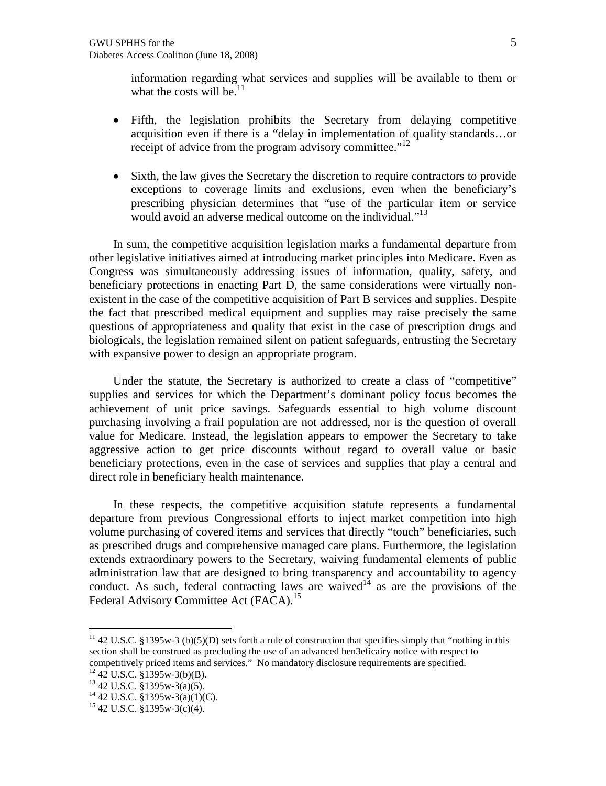information regarding what services and supplies will be available to them or what the costs will be.  $11$ 

- Fifth, the legislation prohibits the Secretary from delaying competitive acquisition even if there is a "delay in implementation of quality standards…or receipt of advice from the program advisory committee."<sup>12</sup>
- Sixth, the law gives the Secretary the discretion to require contractors to provide exceptions to coverage limits and exclusions, even when the beneficiary's prescribing physician determines that "use of the particular item or service would avoid an adverse medical outcome on the individual."<sup>13</sup>

In sum, the competitive acquisition legislation marks a fundamental departure from other legislative initiatives aimed at introducing market principles into Medicare. Even as Congress was simultaneously addressing issues of information, quality, safety, and beneficiary protections in enacting Part D, the same considerations were virtually nonexistent in the case of the competitive acquisition of Part B services and supplies. Despite the fact that prescribed medical equipment and supplies may raise precisely the same questions of appropriateness and quality that exist in the case of prescription drugs and biologicals, the legislation remained silent on patient safeguards, entrusting the Secretary with expansive power to design an appropriate program.

Under the statute, the Secretary is authorized to create a class of "competitive" supplies and services for which the Department's dominant policy focus becomes the achievement of unit price savings. Safeguards essential to high volume discount purchasing involving a frail population are not addressed, nor is the question of overall value for Medicare. Instead, the legislation appears to empower the Secretary to take aggressive action to get price discounts without regard to overall value or basic beneficiary protections, even in the case of services and supplies that play a central and direct role in beneficiary health maintenance.

In these respects, the competitive acquisition statute represents a fundamental departure from previous Congressional efforts to inject market competition into high volume purchasing of covered items and services that directly "touch" beneficiaries, such as prescribed drugs and comprehensive managed care plans. Furthermore, the legislation extends extraordinary powers to the Secretary, waiving fundamental elements of public administration law that are designed to bring transparency and accountability to agency conduct. As such, federal contracting laws are waived<sup>14</sup> as are the provisions of the Federal Advisory Committee Act (FACA).<sup>15</sup>

<sup>&</sup>lt;sup>11</sup> 42 U.S.C. §1395w-3 (b)(5)(D) sets forth a rule of construction that specifies simply that "nothing in this section shall be construed as precluding the use of an advanced ben3eficairy notice with respect to competitively priced items and services." No mandatory disclosure requirements are specified.

 $^{12}$  42 U.S.C. §1395w-3(b)(B).

<sup>13</sup> 42 U.S.C. §1395w-3(a)(5).

 $^{14}$  42 U.S.C. §1395w-3(a)(1)(C).

<sup>15</sup> 42 U.S.C. §1395w-3(c)(4).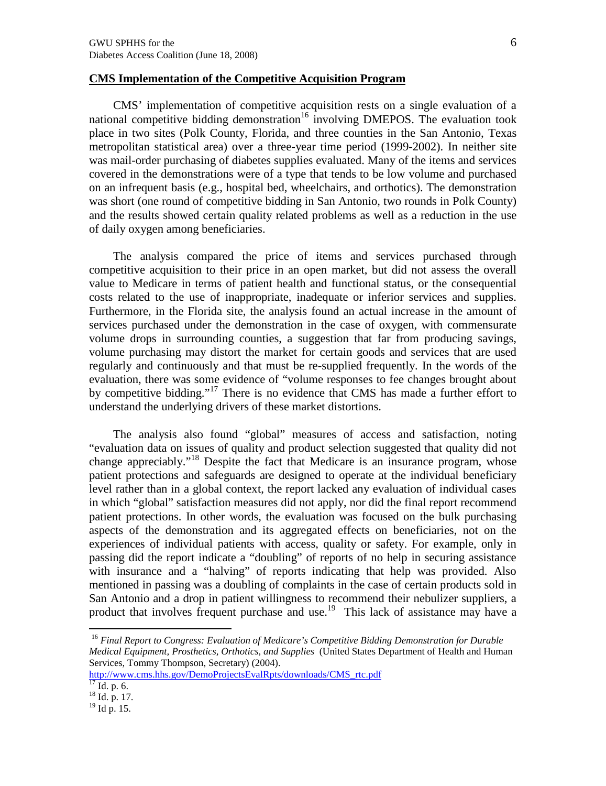#### CMS Implementation of the Competitive Acquisition Program

CMS€ implementation of competitive acquisition rests on a single evaluation of a national competitive bidding demonstration involving DMEPOS. The evaluation took place in two sites (Polk County, Florida, atholee counties in the San Antonio Texas metropolitan statistical areaver a three ear time period (1992002). In neither site was mail-order purchasing of diabetes supplies evaluated. Many of the items and services covered in the demonstrations were of a type that tends to be lowner and purchased on an infrequent basis (e.g., hospital bed, wheelchairs, and orthotics). The demonstration was short (one round of competitive bidding in San Antonio, two rounds in Polk County) and the results showed certain quality related problem a base reduction in the use of daily oxygen among beneficiaries.

The analysis compared the price of items and services purchased through competitive acquisition to their price in an open market, but did not assess the overall value to Medicare in terms patienthealth and functional status, or the nsequential costs related to the use **pr**appropriate, inadequate or inferior services and supplies. Furthermore, in the Florida site, the analysis found an actual increase in the amount of services purchased under the demonstration in the case of oxygen, with commensurate volume drops in surrounding counties, a suggestion that far from producing savings, volume purchasing may distort the market for certain goods and services that are used regularly and commuously and that must be-sepplied frequently. In the words of the evaluation, there was some evidence of , volume responses to fee changes brought about by competitive bidding.<sup>17</sup> There is no evidence that CMS has made a further effort to understand thenderlying drivers of these market distortions.

The analysis also found globalf measures of access and satisfaction, noting 'evaluation data on issues of quality and product selection suggested that quality did not change appreciably.<sup>3</sup> Despite the facthat Medicare is an insurance program, whose patient protections and safeguards are designed to operate at the individual beneficiary level rather than in a global context, the report lacked any evaluation of individual cases in which globalf satisfactin measures did not apply, nor did the final report recommend patient protections. In other words, the evaluation was focused on the bulk purchasing aspects of the demonstration and its aggregated effects on beneficiaries, not on the experiences of individal patients with access, quality or safety. For example, only in passing did the report indicate a doubling f of reports of no help in securing assistance with insurance and a , halving f of reports indicating that help was provided. Also mentioned in passig was a doubling of complaints in the case of certain products sold in San Antonio and a drop in patient willingness to recommend their nebulizer suppliers, a product that involves frequent purchase and  $2^{\circ}$  use. Inclusion assistance may have a

<sup>16</sup> Final Report to Congress: Evaluation of Medicare€s Competitive Bidding Demonstration for Durable Medical EquipmentProsthetics, Orthotics, and Suppliebnited States Department of Health and Human Services, Tommy Thompson, Secretary) (2004).

[http://www.cms.hhs.gov/DemoProjectsEvalRpts/d](http://www.cms.hhs.gov/DemoProjectsEvalRpts/downloads/CMS_rtc.pdf)loads/CMS\_rtc.pdf  $\frac{17}{17}$  Id. p. 6.

 $18$  Id. p. 17.

 $19$  Id p. 15.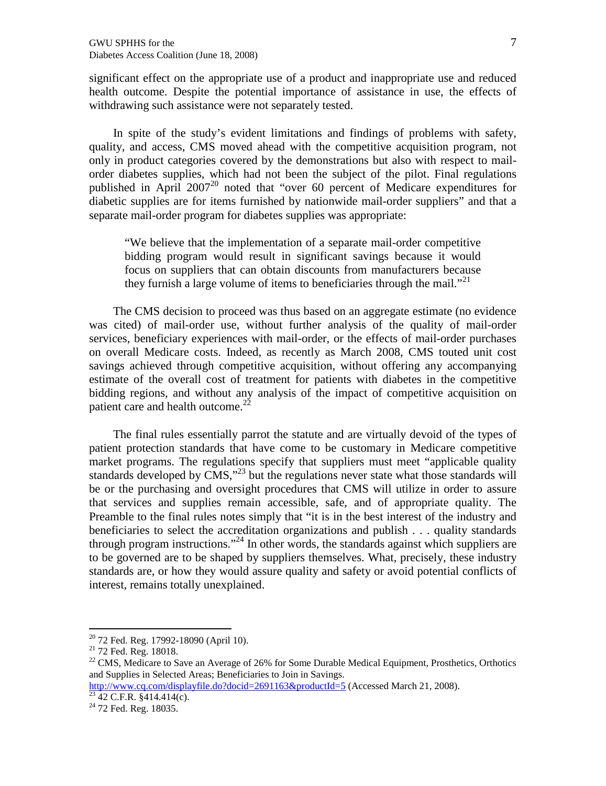significant effect on the appropriate use of a product and inappropriate use and reduced health outcome. Despite the potential importance of assistance in use, the effects of withdrawing such assistance were not separately tested.

In spite of the study€s evident mitations and findings of problems with safety, quality, and access, CMS moved ahead with the competitive acquisition program, not only in product categories covered by the demonstrations but also with respect-to order diabetes supplies, which had tripped the subject of the pilot. Final regulations published in April 200 $\hat{\mathcal{P}}$  noted that over 60 percent of Medicare expenditures for diabetic supplies are for items furnished by nation wide order suppliers  $f$  and that a separatemail-order program for diabetes supplies was appropriate:

.We believe that the implementation of a separatel-order competitive bidding program would result in significant savings because it would focus on suppliers that can obtain discounts from manufacturers because they furnish a large volume of items to beneficiaries through the mail.  $f$ 

The CMS decision to proceed was thus based on an aggregate estimate (no evidence was cited) of mail-order use, without further analysis of the quality **retail-order** services, beneficiar experiences with mail-order, or the effects of mail-order purchases on overall Medicare costs and eed, as recently as March 2008, CMB ted unitcost savings achieved through competitive acquisition theoretic any accompanying estimate of the ovelra cost of treatment for patients with diabetes in the competitive bidding regions, and without any analysis of the impact of competitive acquisition on patient care and health outcome.

The final rules essentially parrot the statute ared virtually devoid of the types of patient protection standards that have come to be customary in Medicare competitive market programsThe regulations specify that suppliers must meet applicable quality standards developed by CMS but the regulations never state whaose standards will be or the purchasing nd oversight procedures that CMS will utilize in order to assure that services and supplies remain accessible, sand of appropriate quality. The Preamble to the final rules notes simply that in the best interest of the industrand beneficiaries to select the accreditation organizations and publish . . . quality standards through program instructions<sup>24</sup> In other words, the standards against which suppliers to be governedare tobe shaped by supplie themselves. What, precisely, these industry standards are, or how they would assure quality and safety original conflicts of interest, remains totally unexplained.

<sup>&</sup>lt;sup>20</sup> 72 Fed. Reg. 179928090 (April 10).

<sup>&</sup>lt;sup>21</sup> 72 Fed. Reg. 18018.

<sup>&</sup>lt;sup>22</sup> CMS, Medicare to Save an Average of 26% for Some Durable Medical Equipment, Prosthetics, Orthotics and Supplies in Selected Areas; **Be** diaries to Join in Savings.

[http://www.cq.com/displayfile.do?docid=2691163&productId](http://www.cq.com/displayfile.do?docid=2691163&productId=5)4&cessedMarch 21, 2008).  $23$  42 C.F.R.  $\overline{\frac{1}{23}414.414(c)}$ .

<sup>&</sup>lt;sup>24</sup> 72 Fed. Reg. 18035.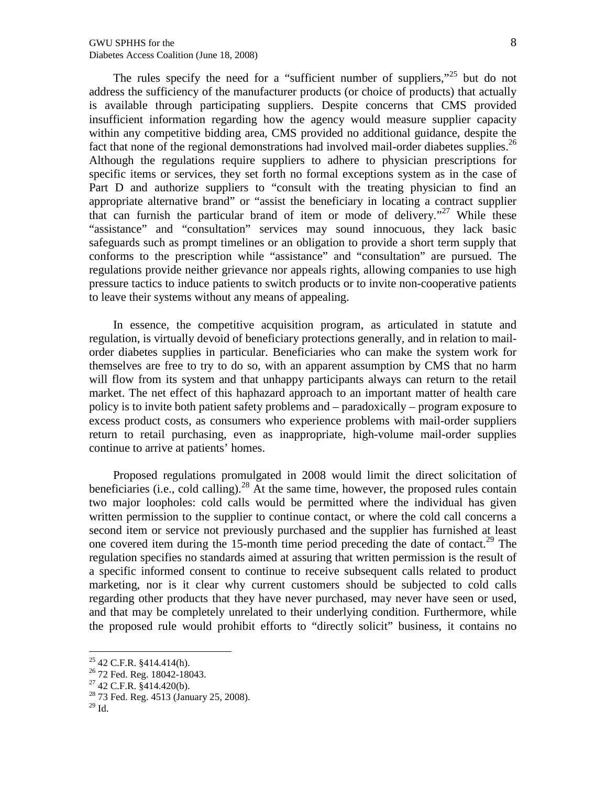The rules specify the need for a "sufficient number of suppliers,"<sup>25</sup> but do not address the sufficiency of the manufacturer products (or choice of products) that actually is available through participating suppliers. Despite concerns that CMS provided insufficient information regarding how the agency would measure supplier capacity within any competitive bidding area, CMS provided no additional guidance, despite the fact that none of the regional demonstrations had involved mail-order diabetes supplies.<sup>26</sup> Although the regulations require suppliers to adhere to physician prescriptions for specific items or services, they set forth no formal exceptions system as in the case of Part D and authorize suppliers to "consult with the treating physician to find an appropriate alternative brand" or "assist the beneficiary in locating a contract supplier that can furnish the particular brand of item or mode of delivery."<sup>27</sup> While these "assistance" and "consultation" services may sound innocuous, they lack basic safeguards such as prompt timelines or an obligation to provide a short term supply that conforms to the prescription while "assistance" and "consultation" are pursued. The regulations provide neither grievance nor appeals rights, allowing companies to use high pressure tactics to induce patients to switch products or to invite non-cooperative patients to leave their systems without any means of appealing.

In essence, the competitive acquisition program, as articulated in statute and regulation, is virtually devoid of beneficiary protections generally, and in relation to mailorder diabetes supplies in particular. Beneficiaries who can make the system work for themselves are free to try to do so, with an apparent assumption by CMS that no harm will flow from its system and that unhappy participants always can return to the retail market. The net effect of this haphazard approach to an important matter of health care policy is to invite both patient safety problems and – paradoxically – program exposure to excess product costs, as consumers who experience problems with mail-order suppliers return to retail purchasing, even as inappropriate, high-volume mail-order supplies continue to arrive at patients' homes.

Proposed regulations promulgated in 2008 would limit the direct solicitation of beneficiaries (i.e., cold calling).<sup>28</sup> At the same time, however, the proposed rules contain two major loopholes: cold calls would be permitted where the individual has given written permission to the supplier to continue contact, or where the cold call concerns a second item or service not previously purchased and the supplier has furnished at least one covered item during the 15-month time period preceding the date of contact.<sup>29</sup> The regulation specifies no standards aimed at assuring that written permission is the result of a specific informed consent to continue to receive subsequent calls related to product marketing, nor is it clear why current customers should be subjected to cold calls regarding other products that they have never purchased, may never have seen or used, and that may be completely unrelated to their underlying condition. Furthermore, while the proposed rule would prohibit efforts to "directly solicit" business, it contains no

 $25$  42 C.F.R. §414.414(h).

<sup>26</sup> 72 Fed. Reg. 18042-18043.

 $27$  42 C.F.R.  $\overline{\S}414.420(b)$ .

<sup>28</sup> 73 Fed. Reg. 4513 (January 25, 2008).

 $29$  Id.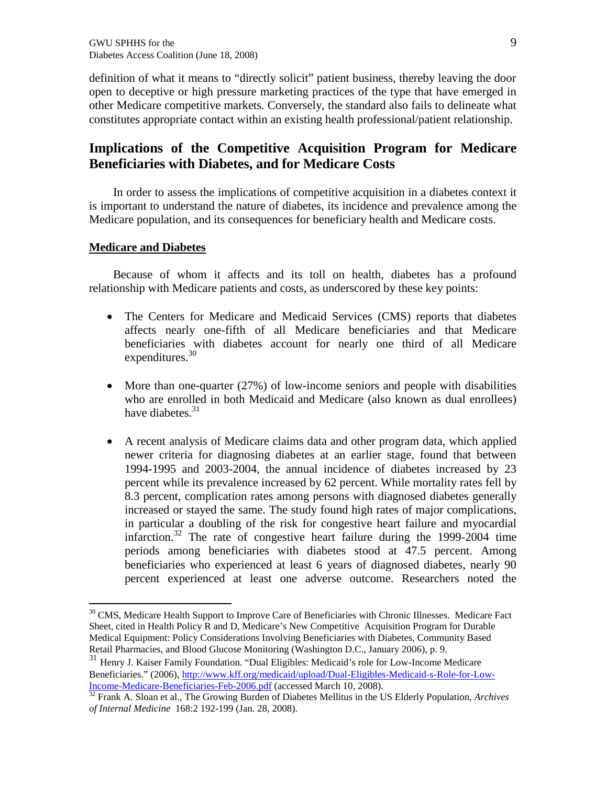definition of what it means to directly solicitf patient business, thereby leaving the door open todeceptive or high pressure marketing practices of the type that have emerged in other Medicare competitive market Conversely, the standard also fails to delineate what constitutes appropriate contact hin an existing health professional/patient relationship.

# Implicat ions of the Competitive Acquisition Program for Medicare Beneficiaries with Diabetes and for Medicare Costs

In order to assess the implications of competitive acquisition in a diabetes context it is important to understand the nature of diabetes, its tence and prevalence among the Medicare population, and its consequences for beneficiary health and Medicare costs.

#### Medicare and Diabetes

Because of whom itaffects and its toll on health diabetes has a profound relationship with Medicare patients and constrained by these key points:

- ð The Centers for Medicare and Medicaid Services (CMB) pris that diabetes affects nearly on fifth of all Medicare beneficiaries and hat Medicare beneficiaries with diabetes account for nearly one third of Medidicare  $expenditure<sup>30</sup>$
- $\ddot{\text{o}}$ . More than onequarter (27%) of lowncome seniors and people with disabilities who are enrolled in both Medicaid and Medictates known as dual enrollees) have diabete $\ddot{\mathbf{s}}$ .
- ð A recent analysis of Medicare claims data and other pro data, which applied newer criteria for diagnosing diabetes at an earlier stage, found that between 19941995 and 2003/004, the annual incidence of diabetes increased by 23 percent while its prevalence increased by 62 percent. While mortality rules fe 8.3 percent, complication rates among persons with diagnosed diabetes generally increased or stayed the same. The study found high rates of major complications, in particular a doubling of the risk for congestive heart failure and myocardial infarction.<sup>32</sup> The rate of congestive heart failure during the  $129994$  time periods among beneficiaries with diabetes stood at 47.5 percent. Among beneficiaries who experienced at least 6 years of diagnosed diabetes, nearly 90 percent experienced at least one astreoutcome. Researchers noted the

<sup>31</sup> Henry J.Kaiser Family Foundation. ,Dual Eligibles: Medicaid€s role for Low ome Medicare Beneficiaries. (2006)[,http://www.kff.org/medicaid/upload/Dual](http://www.kff.org/medicaid/upload/Dual-Eligibles-Medicaid-s-Role-for-Low-Income-Medicare-Beneficiaries-Feb-2006.pdf) -Eligibles-Medicaid-s-Role-for-Low-IncomeMedicareBeneficiariesFeb-2006.pdf (accessed March 10, 2008).

<sup>&</sup>lt;sup>30</sup> CMS, Medicare Health Support to Improve Care of Beneficiaries with Chronic Illnesses. Medicare Fact Sheet, cited in Health Policy R and D, Meade€s New Competitive Acquisition Program for Durable Medical Equipment: Policy Considerations Involving Beneficiaries with Diabetes, Community Based Retail Pharmacies, and Blood Glucose Monitoring (Washington D.C., January 2006), p. 9.

 $32$  Frank A. Sloan eal., The Growing Burden of Diabetes Mellitus in the US Elderly Popula in the US Elderly Popularing of Internal Medicine 168:2 192-199 (Jan. 28, 2008).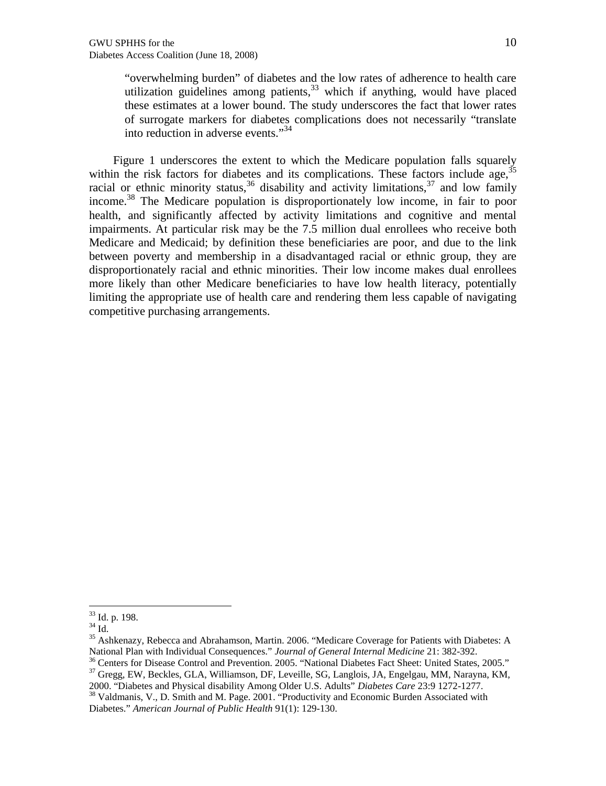"overwhelming burden" of diabetes and the low rates of adherence to health care utilization guidelines among patients,  $33$  which if anything, would have placed these estimates at a lower bound. The study underscores the fact that lower rates of surrogate markers for diabetes complications does not necessarily "translate into reduction in adverse events."<sup>34</sup>

Figure 1 underscores the extent to which the Medicare population falls squarely within the risk factors for diabetes and its complications. These factors include age,  $35$ racial or ethnic minority status,<sup>36</sup> disability and activity limitations,<sup>37</sup> and low family income.<sup>38</sup> The Medicare population is disproportionately low income, in fair to poor health, and significantly affected by activity limitations and cognitive and mental impairments. At particular risk may be the 7.5 million dual enrollees who receive both Medicare and Medicaid; by definition these beneficiaries are poor, and due to the link between poverty and membership in a disadvantaged racial or ethnic group, they are disproportionately racial and ethnic minorities. Their low income makes dual enrollees more likely than other Medicare beneficiaries to have low health literacy, potentially limiting the appropriate use of health care and rendering them less capable of navigating competitive purchasing arrangements.

<sup>33</sup> Id. p. 198.

<sup>34</sup> Id.

<sup>35</sup> Ashkenazy, Rebecca and Abrahamson, Martin. 2006. "Medicare Coverage for Patients with Diabetes: A National Plan with Individual Consequences." *Journal of General Internal Medicine* 21: 382-392.

<sup>&</sup>lt;sup>36</sup> Centers for Disease Control and Prevention. 2005. "National Diabetes Fact Sheet: United States, 2005."

<sup>&</sup>lt;sup>37</sup> Gregg, EW, Beckles, GLA, Williamson, DF, Leveille, SG, Langlois, JA, Engelgau, MM, Narayna, KM,

<sup>2000. &</sup>quot;Diabetes and Physical disability Among Older U.S. Adults" *Diabetes Care* 23:9 1272-1277. <sup>38</sup> Valdmanis, V., D. Smith and M. Page. 2001. "Productivity and Economic Burden Associated with Diabetes." *American Journal of Public Health* 91(1): 129-130.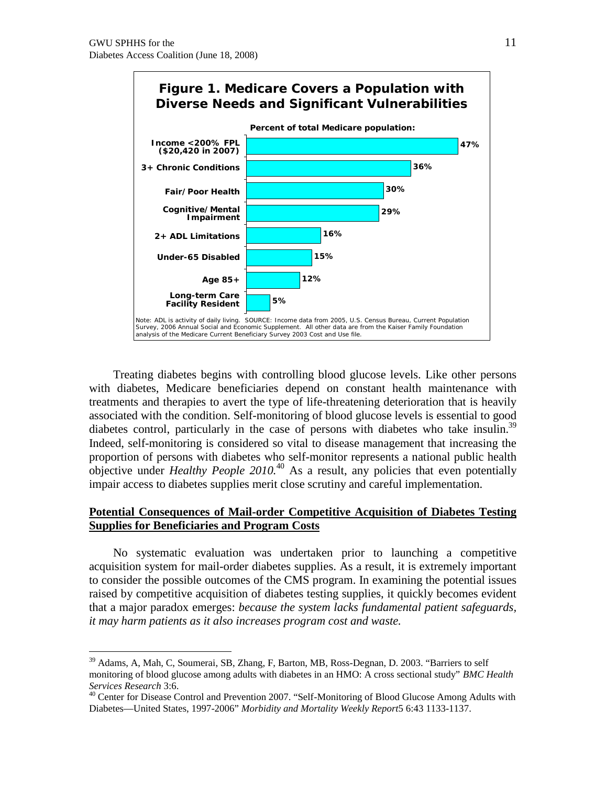

Treating diabetes begins with controlling blood glucose levels. Like other persons with diabetes, Medicare beneficiaries depend on constant health maintenance with treatments and therapies to avert the type of life-threatening deterioration that is heavily associated with the condition. Self-monitoring of blood glucose levels is essential to good diabetes control, particularly in the case of persons with diabetes who take insulin.<sup>39</sup> Indeed, self-monitoring is considered so vital to disease management that increasing the proportion of persons with diabetes who self-monitor represents a national public health objective under *Healthy People 2010.*<sup>40</sup> As a result, any policies that even potentially impair access to diabetes supplies merit close scrutiny and careful implementation.

#### **Potential Consequences of Mail-order Competitive Acquisition of Diabetes Testing Supplies for Beneficiaries and Program Costs**

No systematic evaluation was undertaken prior to launching a competitive acquisition system for mail-order diabetes supplies. As a result, it is extremely important to consider the possible outcomes of the CMS program. In examining the potential issues raised by competitive acquisition of diabetes testing supplies, it quickly becomes evident that a major paradox emerges: *because the system lacks fundamental patient safeguards, it may harm patients as it also increases program cost and waste.*

<sup>&</sup>lt;sup>39</sup> Adams, A, Mah, C, Soumerai, SB, Zhang, F, Barton, MB, Ross-Degnan, D. 2003. "Barriers to self monitoring of blood glucose among adults with diabetes in an HMO: A cross sectional study" *BMC Health Services Research* 3:6.

<sup>&</sup>lt;sup>40</sup> Center for Disease Control and Prevention 2007. "Self-Monitoring of Blood Glucose Among Adults with Diabetes—United States, 1997-2006" *Morbidity and Mortality Weekly Report*5 6:43 1133-1137.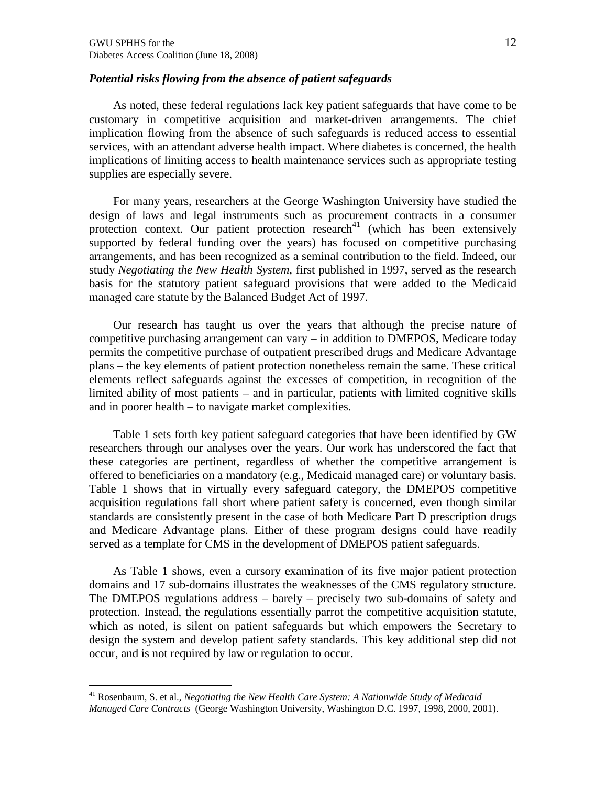#### *Potential risks flowing from the absence of patient safeguards*

As noted, these federal regulations lack key patient safeguards that have come to be customary in competitive acquisition and market-driven arrangements. The chief implication flowing from the absence of such safeguards is reduced access to essential services, with an attendant adverse health impact. Where diabetes is concerned, the health implications of limiting access to health maintenance services such as appropriate testing supplies are especially severe.

For many years, researchers at the George Washington University have studied the design of laws and legal instruments such as procurement contracts in a consumer protection context. Our patient protection research $41$  (which has been extensively supported by federal funding over the years) has focused on competitive purchasing arrangements, and has been recognized as a seminal contribution to the field. Indeed, our study *Negotiating the New Health System,* first published in 1997, served as the research basis for the statutory patient safeguard provisions that were added to the Medicaid managed care statute by the Balanced Budget Act of 1997.

Our research has taught us over the years that although the precise nature of competitive purchasing arrangement can vary – in addition to DMEPOS, Medicare today permits the competitive purchase of outpatient prescribed drugs and Medicare Advantage plans – the key elements of patient protection nonetheless remain the same. These critical elements reflect safeguards against the excesses of competition, in recognition of the limited ability of most patients – and in particular, patients with limited cognitive skills and in poorer health – to navigate market complexities.

Table 1 sets forth key patient safeguard categories that have been identified by GW researchers through our analyses over the years. Our work has underscored the fact that these categories are pertinent, regardless of whether the competitive arrangement is offered to beneficiaries on a mandatory (e.g., Medicaid managed care) or voluntary basis. Table 1 shows that in virtually every safeguard category, the DMEPOS competitive acquisition regulations fall short where patient safety is concerned, even though similar standards are consistently present in the case of both Medicare Part D prescription drugs and Medicare Advantage plans. Either of these program designs could have readily served as a template for CMS in the development of DMEPOS patient safeguards.

As Table 1 shows, even a cursory examination of its five major patient protection domains and 17 sub-domains illustrates the weaknesses of the CMS regulatory structure. The DMEPOS regulations address – barely – precisely two sub-domains of safety and protection. Instead, the regulations essentially parrot the competitive acquisition statute, which as noted, is silent on patient safeguards but which empowers the Secretary to design the system and develop patient safety standards. This key additional step did not occur, and is not required by law or regulation to occur.

<sup>41</sup> Rosenbaum, S. et al., *Negotiating the New Health Care System: A Nationwide Study of Medicaid Managed Care Contracts* (George Washington University, Washington D.C. 1997, 1998, 2000, 2001).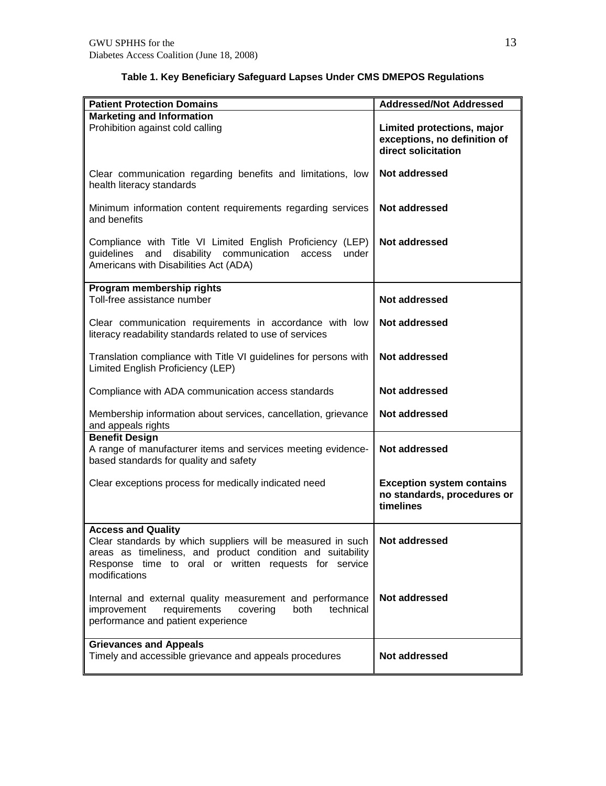| <b>Patient Protection Domains</b>                                                                                                                                                                                                | <b>Addressed/Not Addressed</b>                                                    |
|----------------------------------------------------------------------------------------------------------------------------------------------------------------------------------------------------------------------------------|-----------------------------------------------------------------------------------|
| <b>Marketing and Information</b><br>Prohibition against cold calling                                                                                                                                                             | Limited protections, major<br>exceptions, no definition of<br>direct solicitation |
| Clear communication regarding benefits and limitations, low<br>health literacy standards                                                                                                                                         | <b>Not addressed</b>                                                              |
| Minimum information content requirements regarding services<br>and benefits                                                                                                                                                      | Not addressed                                                                     |
| Compliance with Title VI Limited English Proficiency (LEP)<br>disability communication<br>guidelines<br>and<br>access<br>under<br>Americans with Disabilities Act (ADA)                                                          | Not addressed                                                                     |
| Program membership rights<br>Toll-free assistance number                                                                                                                                                                         | Not addressed                                                                     |
| Clear communication requirements in accordance with low<br>literacy readability standards related to use of services                                                                                                             | <b>Not addressed</b>                                                              |
| Translation compliance with Title VI guidelines for persons with<br>Limited English Proficiency (LEP)                                                                                                                            | Not addressed                                                                     |
| Compliance with ADA communication access standards                                                                                                                                                                               | Not addressed                                                                     |
| Membership information about services, cancellation, grievance<br>and appeals rights                                                                                                                                             | Not addressed                                                                     |
| <b>Benefit Design</b><br>A range of manufacturer items and services meeting evidence-<br>based standards for quality and safety                                                                                                  | Not addressed                                                                     |
| Clear exceptions process for medically indicated need                                                                                                                                                                            | <b>Exception system contains</b><br>no standards, procedures or<br>timelines      |
| <b>Access and Quality</b><br>Clear standards by which suppliers will be measured in such<br>areas as timeliness, and product condition and suitability<br>Response time to oral or written requests for service<br>modifications | Not addressed                                                                     |
| Internal and external quality measurement and performance<br>requirements<br>covering<br>both<br>improvement<br>technical<br>performance and patient experience                                                                  | Not addressed                                                                     |
| <b>Grievances and Appeals</b><br>Timely and accessible grievance and appeals procedures                                                                                                                                          | Not addressed                                                                     |

# **Table 1. Key Beneficiary Safeguard Lapses Under CMS DMEPOS Regulations**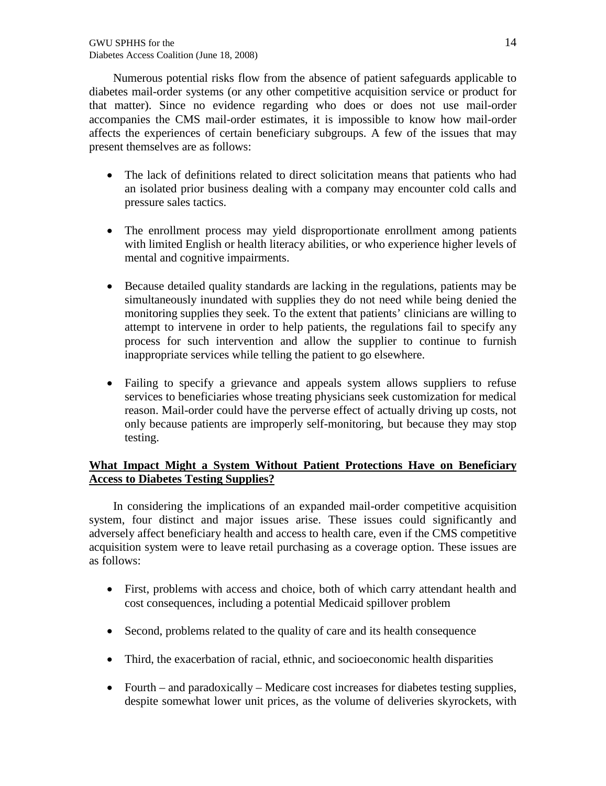Numerous potential risks flow from the absence of patient safeguards applicable to diabetes mail-order systems (or any other competitive acquisition service or product for that matter). Since no evidence regarding who does or does not use mail-order accompanies the CMS mail-order estimates, it is impossible to know how mail-order affects the experiences of certain beneficiary subgroups. A few of the issues that may present themselves are as follows:

- The lack of definitions related to direct solicitation means that patients who had an isolated prior business dealing with a company may encounter cold calls and pressure sales tactics.
- The enrollment process may yield disproportionate enrollment among patients with limited English or health literacy abilities, or who experience higher levels of mental and cognitive impairments.
- Because detailed quality standards are lacking in the regulations, patients may be simultaneously inundated with supplies they do not need while being denied the monitoring supplies they seek. To the extent that patients' clinicians are willing to attempt to intervene in order to help patients, the regulations fail to specify any process for such intervention and allow the supplier to continue to furnish inappropriate services while telling the patient to go elsewhere.
- Failing to specify a grievance and appeals system allows suppliers to refuse services to beneficiaries whose treating physicians seek customization for medical reason. Mail-order could have the perverse effect of actually driving up costs, not only because patients are improperly self-monitoring, but because they may stop testing.

## **What Impact Might a System Without Patient Protections Have on Beneficiary Access to Diabetes Testing Supplies?**

In considering the implications of an expanded mail-order competitive acquisition system, four distinct and major issues arise. These issues could significantly and adversely affect beneficiary health and access to health care, even if the CMS competitive acquisition system were to leave retail purchasing as a coverage option. These issues are as follows:

- First, problems with access and choice, both of which carry attendant health and cost consequences, including a potential Medicaid spillover problem
- Second, problems related to the quality of care and its health consequence
- Third, the exacerbation of racial, ethnic, and socioeconomic health disparities
- Fourth and paradoxically Medicare cost increases for diabetes testing supplies, despite somewhat lower unit prices, as the volume of deliveries skyrockets, with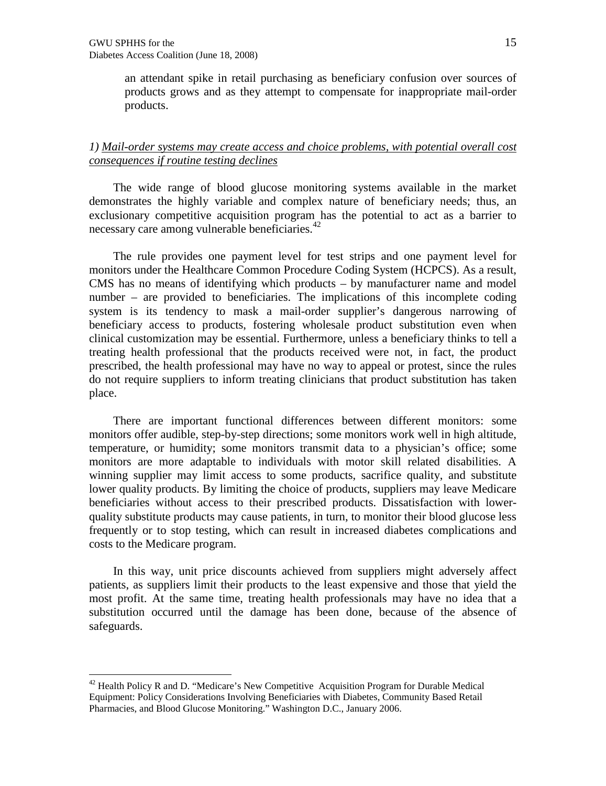an attendant spike in retail purchasing as beneficiary confusion over sources of products grows and as they attempt to compensate for inappropriate mail-order products.

#### *1) Mail-order systems may create access and choice problems, with potential overall cost consequences if routine testing declines*

The wide range of blood glucose monitoring systems available in the market demonstrates the highly variable and complex nature of beneficiary needs; thus, an exclusionary competitive acquisition program has the potential to act as a barrier to necessary care among vulnerable beneficiaries.<sup>42</sup>

The rule provides one payment level for test strips and one payment level for monitors under the Healthcare Common Procedure Coding System (HCPCS). As a result, CMS has no means of identifying which products – by manufacturer name and model number – are provided to beneficiaries. The implications of this incomplete coding system is its tendency to mask a mail-order supplier's dangerous narrowing of beneficiary access to products, fostering wholesale product substitution even when clinical customization may be essential. Furthermore, unless a beneficiary thinks to tell a treating health professional that the products received were not, in fact, the product prescribed, the health professional may have no way to appeal or protest, since the rules do not require suppliers to inform treating clinicians that product substitution has taken place.

There are important functional differences between different monitors: some monitors offer audible, step-by-step directions; some monitors work well in high altitude, temperature, or humidity; some monitors transmit data to a physician's office; some monitors are more adaptable to individuals with motor skill related disabilities. A winning supplier may limit access to some products, sacrifice quality, and substitute lower quality products. By limiting the choice of products, suppliers may leave Medicare beneficiaries without access to their prescribed products. Dissatisfaction with lowerquality substitute products may cause patients, in turn, to monitor their blood glucose less frequently or to stop testing, which can result in increased diabetes complications and costs to the Medicare program.

In this way, unit price discounts achieved from suppliers might adversely affect patients, as suppliers limit their products to the least expensive and those that yield the most profit. At the same time, treating health professionals may have no idea that a substitution occurred until the damage has been done, because of the absence of safeguards.

 $42$  Health Policy R and D. "Medicare's New Competitive Acquisition Program for Durable Medical Equipment: Policy Considerations Involving Beneficiaries with Diabetes, Community Based Retail Pharmacies, and Blood Glucose Monitoring." Washington D.C., January 2006.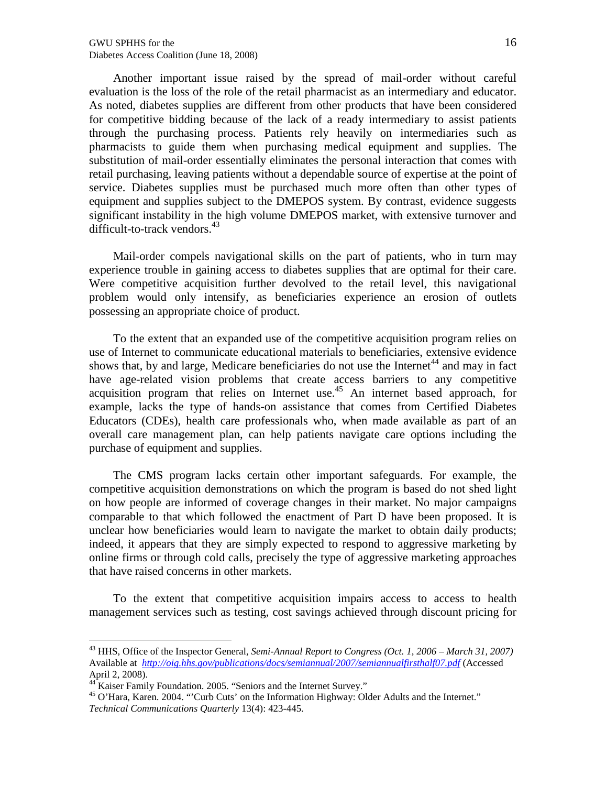Another important issueraised by the spread orthail-order without careful evaluation is the loss of the role of the retail pharmacist as intermediary and educator. As noted,diabetes supplies are different from other products that have been considered for competitive bidding because of the lack of a ready intermediary to assist patients through the purchasing process. Patients rely heavily on intermediantiesh as pharmacists to quide them when purchasing dical equipment and supplies the substitution ofmail-order essentially eliminates the personal interaction that comes with retail purchasing leaving patients without a dependable source of expertise at the point of service. Diabetes supplies must be purchased much more often to the types of equipment and supplies subject to the DMEPOS system contrast, evidence suggests significant instability in the high volume DMEPOS market, with extensive turnover and difficult-to-track vendors.

Mail-order compels navigational skills on the part positionts who in turn may experiencetrouble in gaining access to iabetes supplies that are optinitiant their care. Were competitive acquisition further devolved to theretail level this navigational problem would only intensify, asseneficiaries experience an erosion ortitlets possessing an appropriate choice of product .

To the extent that an expresed use of the competitive acquisition program relies on use of Internet to communicate educational materials to beneficiari tensive vidence shows thatby and largeMedicare beneficiaries do not use the Internation may in fact have age-related vision problems that create access barriers to any competitive acquisition program that relies on Internet  $\hat{u}$ se internet based approach, for example, lacks the type of hands assistance that comes frome trified Diabetes Educators (CDEs), health care rofessionals who, when made available as part of an overall care management plan, can help patients navigate care options ind tureding purchase of equipment and supplies.

The CMS program lacks certain other important safeguards. For example, the competitive acquisition demonstrations on which the program is based do not shed light on how people are iformed of coverage changes their market. No major campaigns comparable to that which followed the enactment of Part D have been proposed. It is unclear how beneficiaries would learn to navigal the market to obtain dail products; indeed, it appears that they are simply expected to respond to aggressive marketing by online firms or through cold calls, precisely the type of aggressive marketing approaches that have raised concerns in other markets.

To the extent that competitive acquisition mpairs access to access to health management services such as testing tsavings achieved through discount pricing for

<sup>&</sup>lt;sup>43</sup> HHS, Office of the Inspector Gener<sup>St</sup>emi-Annual Report to Congress (Oct. 1, 200March 31, 2007) Available at http://oig.hhs.go/publications/docs/semiannual/2007/semiannualfirsthalf07.Actessed April 2, 2008).

 $44$  Kaiser Family Foundation. 2005. , Seniors and the Internet Survey.f

<sup>&</sup>lt;sup>45</sup> O€Hara, Karen. 2004. ,€Curb Cuts€ on the Information Highway: Older Adults and the Internet.f Technical Communications Quartert<sub>(8</sub>(4): 423445.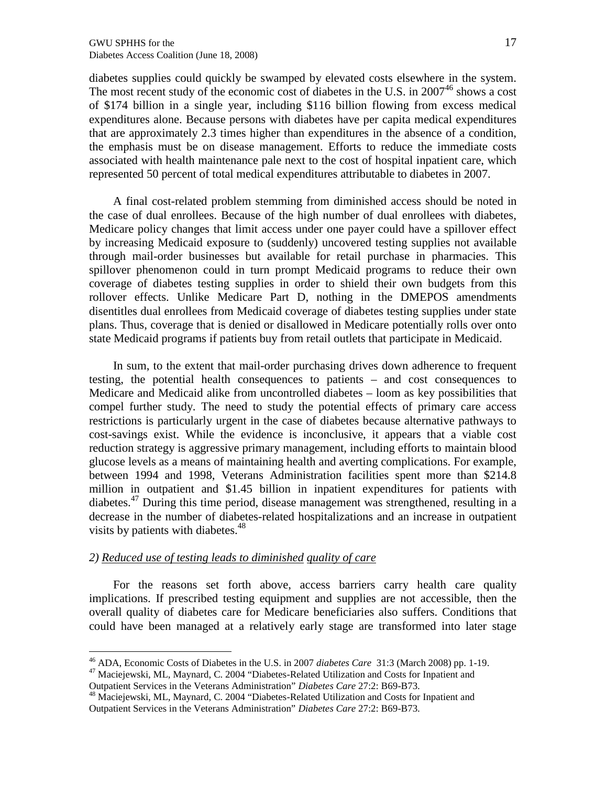diabetes supplies could quickly be swamped by elevated costs elsewhere in the system. The most recent study of the economic cost of diabetes in the U.S. in  $2007^{46}$  shows a cost of \$174 billion in a single year, including \$116 billion flowing from excess medical expenditures alone. Because persons with diabetes have per capita medical expenditures that are approximately 2.3 times higher than expenditures in the absence of a condition, the emphasis must be on disease management. Efforts to reduce the immediate costs associated with health maintenance pale next to the cost of hospital inpatient care, which represented 50 percent of total medical expenditures attributable to diabetes in 2007.

A final cost-related problem stemming from diminished access should be noted in the case of dual enrollees. Because of the high number of dual enrollees with diabetes, Medicare policy changes that limit access under one payer could have a spillover effect by increasing Medicaid exposure to (suddenly) uncovered testing supplies not available through mail-order businesses but available for retail purchase in pharmacies. This spillover phenomenon could in turn prompt Medicaid programs to reduce their own coverage of diabetes testing supplies in order to shield their own budgets from this rollover effects. Unlike Medicare Part D, nothing in the DMEPOS amendments disentitles dual enrollees from Medicaid coverage of diabetes testing supplies under state plans. Thus, coverage that is denied or disallowed in Medicare potentially rolls over onto state Medicaid programs if patients buy from retail outlets that participate in Medicaid.

In sum, to the extent that mail-order purchasing drives down adherence to frequent testing, the potential health consequences to patients – and cost consequences to Medicare and Medicaid alike from uncontrolled diabetes – loom as key possibilities that compel further study. The need to study the potential effects of primary care access restrictions is particularly urgent in the case of diabetes because alternative pathways to cost-savings exist. While the evidence is inconclusive, it appears that a viable cost reduction strategy is aggressive primary management, including efforts to maintain blood glucose levels as a means of maintaining health and averting complications. For example, between 1994 and 1998, Veterans Administration facilities spent more than \$214.8 million in outpatient and \$1.45 billion in inpatient expenditures for patients with diabetes.<sup>47</sup> During this time period, disease management was strengthened, resulting in a decrease in the number of diabetes-related hospitalizations and an increase in outpatient visits by patients with diabetes. $48$ 

#### *2) Reduced use of testing leads to diminished quality of care*

For the reasons set forth above, access barriers carry health care quality implications. If prescribed testing equipment and supplies are not accessible, then the overall quality of diabetes care for Medicare beneficiaries also suffers. Conditions that could have been managed at a relatively early stage are transformed into later stage

<sup>46</sup> ADA, Economic Costs of Diabetes in the U.S. in 2007 *diabetes Care* 31:3 (March 2008) pp. 1-19.

<sup>&</sup>lt;sup>47</sup> Maciejewski, ML, Maynard, C. 2004 "Diabetes-Related Utilization and Costs for Inpatient and Outpatient Services in the Veterans Administration" *Diabetes Care* 27:2: B69-B73.

<sup>&</sup>lt;sup>48</sup> Maciejewski, ML, Maynard, C. 2004 "Diabetes-Related Utilization and Costs for Inpatient and Outpatient Services in the Veterans Administration" *Diabetes Care* 27:2: B69-B73.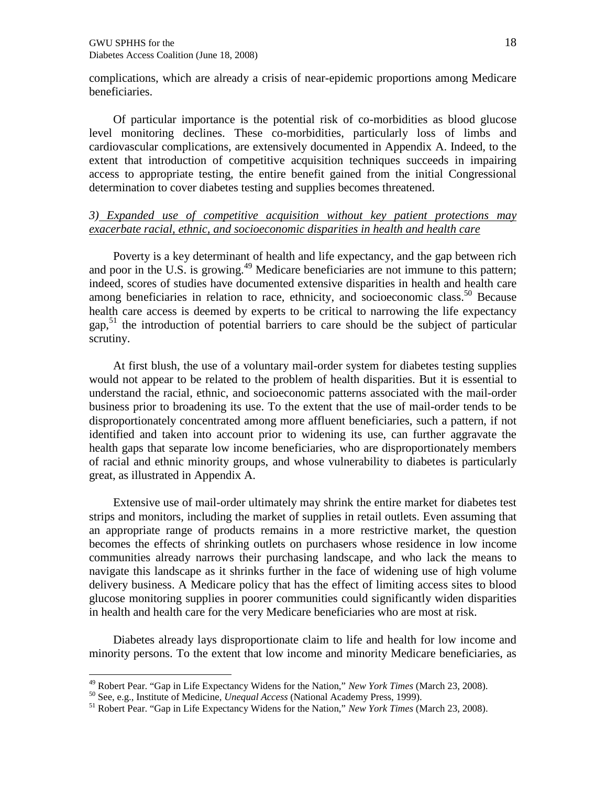complications, which are already a crisis of near-epidemic proportions among Medicare beneficiaries.

Of particular importance is the potential risk of co-morbidities as blood glucose level monitoring declines. These co-morbidities, particularly loss of limbs and cardiovascular complications, are extensively documented in Appendix A. Indeed, to the extent that introduction of competitive acquisition techniques succeeds in impairing access to appropriate testing, the entire benefit gained from the initial Congressional determination to cover diabetes testing and supplies becomes threatened.

#### *3) Expanded use of competitive acquisition without key patient protections may exacerbate racial, ethnic, and socioeconomic disparities in health and health care*

Poverty is a key determinant of health and life expectancy, and the gap between rich and poor in the U.S. is growing.<sup>49</sup> Medicare beneficiaries are not immune to this pattern; indeed, scores of studies have documented extensive disparities in health and health care among beneficiaries in relation to race, ethnicity, and socioeconomic class.<sup>50</sup> Because health care access is deemed by experts to be critical to narrowing the life expectancy gap, $51$  the introduction of potential barriers to care should be the subject of particular scrutiny.

At first blush, the use of a voluntary mail-order system for diabetes testing supplies would not appear to be related to the problem of health disparities. But it is essential to understand the racial, ethnic, and socioeconomic patterns associated with the mail-order business prior to broadening its use. To the extent that the use of mail-order tends to be disproportionately concentrated among more affluent beneficiaries, such a pattern, if not identified and taken into account prior to widening its use, can further aggravate the health gaps that separate low income beneficiaries, who are disproportionately members of racial and ethnic minority groups, and whose vulnerability to diabetes is particularly great, as illustrated in Appendix A.

Extensive use of mail-order ultimately may shrink the entire market for diabetes test strips and monitors, including the market of supplies in retail outlets. Even assuming that an appropriate range of products remains in a more restrictive market, the question becomes the effects of shrinking outlets on purchasers whose residence in low income communities already narrows their purchasing landscape, and who lack the means to navigate this landscape as it shrinks further in the face of widening use of high volume delivery business. A Medicare policy that has the effect of limiting access sites to blood glucose monitoring supplies in poorer communities could significantly widen disparities in health and health care for the very Medicare beneficiaries who are most at risk.

Diabetes already lays disproportionate claim to life and health for low income and minority persons. To the extent that low income and minority Medicare beneficiaries, as

<sup>49</sup> Robert Pear. "Gap in Life Expectancy Widens for the Nation," *New York Times* (March 23, 2008).

<sup>50</sup> See, e.g., Institute of Medicine, *Unequal Access* (National Academy Press, 1999).

<sup>51</sup> Robert Pear. "Gap in Life Expectancy Widens for the Nation," *New York Times* (March 23, 2008).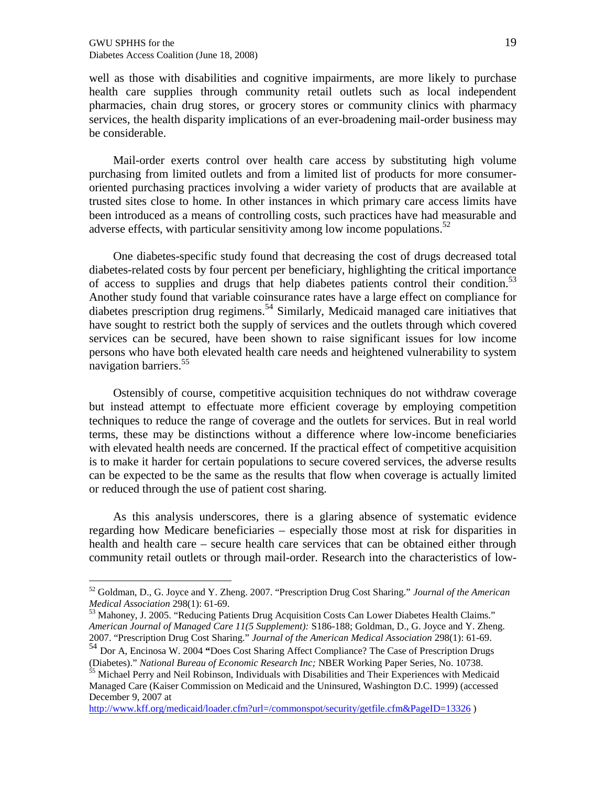well as those with disabilities and cognitive impairmente, mapre likely to purchase health care supplies through community retail outlets such as local independent pharmacies, chain drug stores, or grocery stores or community clinics with pharmacy services, the health disparity implications and ever-broadening mail-order business may be considerable.

Mail-order exerts control over health care access by substituting high volume purchasing from limited outlets and from a limited list of products for more consumer oriented purchasing practices involving a widerigty of products that are available trusted sites close to home. other instances in whigh rimary careaccess limits have been introduced as a means of controlling costs, such practices have and been introduced as a means of controlling costs, such practices have and adverse effects with particular sensivity among low income populations.

One diabetespecific study found that decreasing the cost of drugs decreased total diabete and costs by four percent per beneficiary, highlighting the critical importance of access to supplies and drugs that phe labeles patients control their condition. Another study found that variable coinsurance rates have a large effect on compliance for diabetes prescription drug regimens Similarly, Medicaid managed care initiatives that have sought to restrict bothet supply of services and the outlets through which covered services can be secured, have been shown to raise significant issues for ome persons who have both elevated health care needs and heightened vulnerability to system navigation barriers<sup>55</sup>.

Ostensibly of course, competitive acquisition techniques do not withdraw coverage but instead attempt to effectuate more efficient coverage by employing competition techniques to reduce the range of coverage and the outlets for services. But in real world terms, these may be distinctions without a difference wherein owne beneficiaries with elevated health needs are concerned. If the practical effect of competitive acquisition is to make it harder for certain populations to secure covered services, the search sults can be expected to be the same as the results that flow when coverage is actually limited or reduced through the use of patient cost sharing.

As this analysis underscores, there is a glaring absence of systematic evidence regarding how Mediare beneficiaries especially those most at risk for disparities in health and health caresecure health care services that can be obtained either through community retail outlets or through mail der. Research into the characteristics of low

<sup>55</sup> Michael Perry and Neil Robinson, Individuals with Disabilities and Their Experiences with Medicaid Managed Care (Kaiser Commission on Medicaid the Uninsured, Washington D.C. 1999) (accessed December 9, 2007 at

http://www.kff.org/medicaid/loader.cfm?url=/commonspot/security/getfile.cfm&Page\$326)

<sup>52</sup> Goldman, D., G. Joyce and Y. Zheng. 2007. , Prescription Drug Cost Shatingrifal of the American Medical Association298(1): 6169.

<sup>53</sup> Mahoney, J. 2005. , Reducing Patients Drug Acquisition Costs Can Lower Diabetes Health Claims. f American Journal oManaged Care 11(5 Supplemer \$) 186188; Goldman, D., G. Joyce and Y. Zheng. 2007. Prescription Drug Cost Sharing Cournal of the American Medical Association88(1): 6169.

<sup>54</sup> Dor A, Encinosa W. 2004 Does Cost Sharing Affect Compliance? The Case of Pretion Drugs (Diabetes). National Bureau of Economic Research INGER Working Paper Series, No. 10738.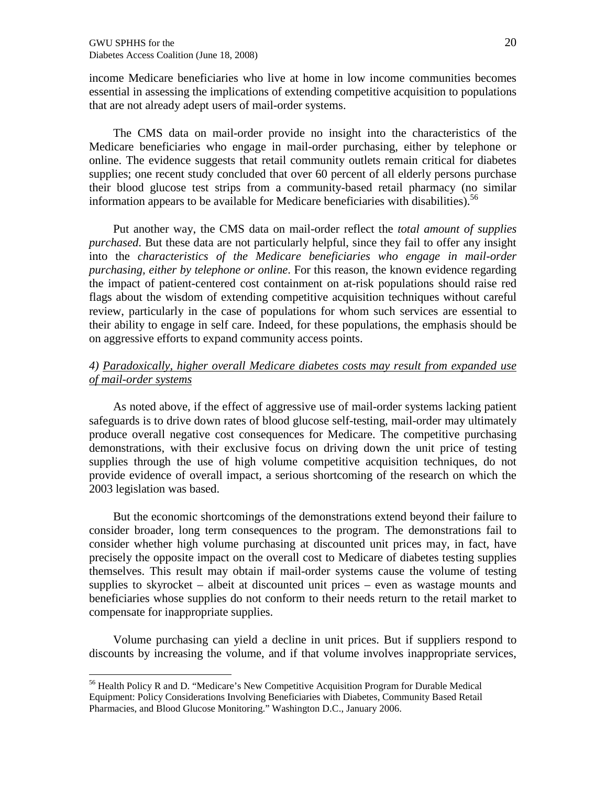income Medicare beneficiaries who live at home in low income communities becomes essential in assessing the implications of extending competitive acquisition to populations that are not already adept users of mail-order systems.

The CMS data on mail-order provide no insight into the characteristics of the Medicare beneficiaries who engage in mail-order purchasing, either by telephone or online. The evidence suggests that retail community outlets remain critical for diabetes supplies; one recent study concluded that over 60 percent of all elderly persons purchase their blood glucose test strips from a community-based retail pharmacy (no similar information appears to be available for Medicare beneficiaries with disabilities).<sup>56</sup>

Put another way, the CMS data on mail-order reflect the *total amount of supplies purchased*. But these data are not particularly helpful, since they fail to offer any insight into the *characteristics of the Medicare beneficiaries who engage in mail-order purchasing, either by telephone or online*. For this reason, the known evidence regarding the impact of patient-centered cost containment on at-risk populations should raise red flags about the wisdom of extending competitive acquisition techniques without careful review, particularly in the case of populations for whom such services are essential to their ability to engage in self care. Indeed, for these populations, the emphasis should be on aggressive efforts to expand community access points.

### *4) Paradoxically, higher overall Medicare diabetes costs may result from expanded use of mail-order systems*

As noted above, if the effect of aggressive use of mail-order systems lacking patient safeguards is to drive down rates of blood glucose self-testing, mail-order may ultimately produce overall negative cost consequences for Medicare. The competitive purchasing demonstrations, with their exclusive focus on driving down the unit price of testing supplies through the use of high volume competitive acquisition techniques, do not provide evidence of overall impact, a serious shortcoming of the research on which the 2003 legislation was based.

But the economic shortcomings of the demonstrations extend beyond their failure to consider broader, long term consequences to the program. The demonstrations fail to consider whether high volume purchasing at discounted unit prices may, in fact, have precisely the opposite impact on the overall cost to Medicare of diabetes testing supplies themselves. This result may obtain if mail-order systems cause the volume of testing supplies to skyrocket – albeit at discounted unit prices – even as wastage mounts and beneficiaries whose supplies do not conform to their needs return to the retail market to compensate for inappropriate supplies.

Volume purchasing can yield a decline in unit prices. But if suppliers respond to discounts by increasing the volume, and if that volume involves inappropriate services,

<sup>56</sup> Health Policy R and D. "Medicare's New Competitive Acquisition Program for Durable Medical Equipment: Policy Considerations Involving Beneficiaries with Diabetes, Community Based Retail Pharmacies, and Blood Glucose Monitoring." Washington D.C., January 2006.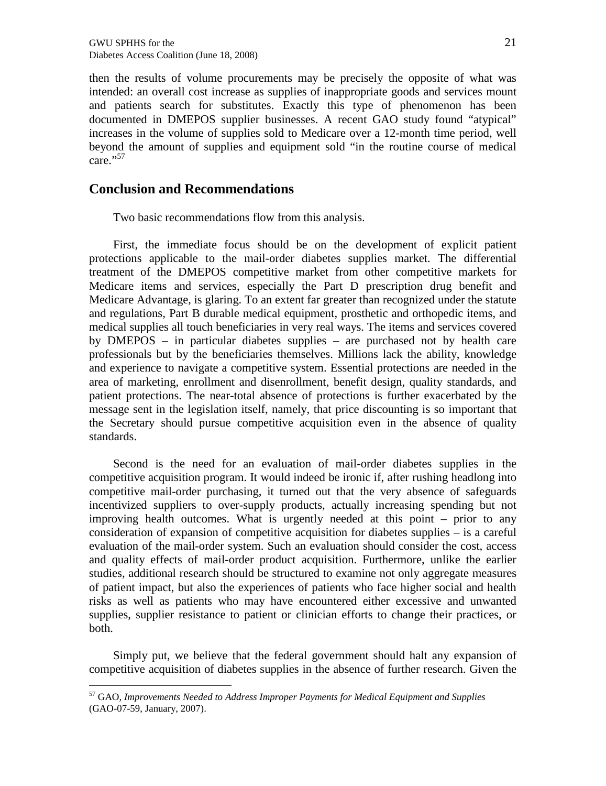then the results of volume procurements may be precisely the opposite of what was intended: an overall cost increase as supplies of inappropriate goods and services mount and patients search for substitutes. Exactly this type of phenomenon has been documented in DMEPOS supplier businesses. A recent GAO study found "atypical" increases in the volume of supplies sold to Medicare over a 12-month time period, well beyond the amount of supplies and equipment sold "in the routine course of medical  $care.$ <sup>57</sup>

## **Conclusion and Recommendations**

Two basic recommendations flow from this analysis.

First, the immediate focus should be on the development of explicit patient protections applicable to the mail-order diabetes supplies market. The differential treatment of the DMEPOS competitive market from other competitive markets for Medicare items and services, especially the Part D prescription drug benefit and Medicare Advantage, is glaring. To an extent far greater than recognized under the statute and regulations, Part B durable medical equipment, prosthetic and orthopedic items, and medical supplies all touch beneficiaries in very real ways. The items and services covered by DMEPOS – in particular diabetes supplies – are purchased not by health care professionals but by the beneficiaries themselves. Millions lack the ability, knowledge and experience to navigate a competitive system. Essential protections are needed in the area of marketing, enrollment and disenrollment, benefit design, quality standards, and patient protections. The near-total absence of protections is further exacerbated by the message sent in the legislation itself, namely, that price discounting is so important that the Secretary should pursue competitive acquisition even in the absence of quality standards.

Second is the need for an evaluation of mail-order diabetes supplies in the competitive acquisition program. It would indeed be ironic if, after rushing headlong into competitive mail-order purchasing, it turned out that the very absence of safeguards incentivized suppliers to over-supply products, actually increasing spending but not improving health outcomes. What is urgently needed at this point – prior to any consideration of expansion of competitive acquisition for diabetes supplies – is a careful evaluation of the mail-order system. Such an evaluation should consider the cost, access and quality effects of mail-order product acquisition. Furthermore, unlike the earlier studies, additional research should be structured to examine not only aggregate measures of patient impact, but also the experiences of patients who face higher social and health risks as well as patients who may have encountered either excessive and unwanted supplies, supplier resistance to patient or clinician efforts to change their practices, or both.

Simply put, we believe that the federal government should halt any expansion of competitive acquisition of diabetes supplies in the absence of further research. Given the

<sup>57</sup> GAO, *Improvements Needed to Address Improper Payments for Medical Equipment and Supplies* (GAO-07-59, January, 2007).